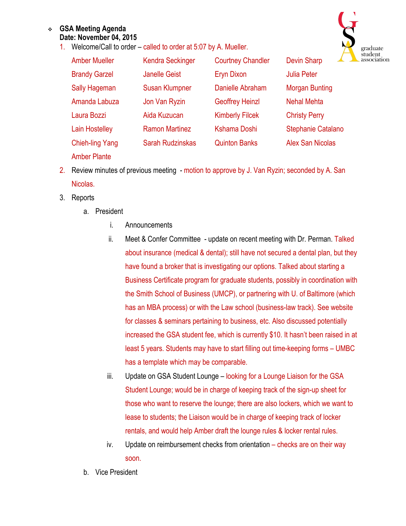## <sup>v</sup> **GSA Meeting Agenda Date: November 04, 2015**

1. Welcome/Call to order – called to order at 5:07 by A. Mueller.



| <b>Amber Mueller</b>   | <b>Kendra Seckinger</b> | <b>Courtney Chandler</b> | <b>Devin Sharp</b>        |
|------------------------|-------------------------|--------------------------|---------------------------|
| <b>Brandy Garzel</b>   | <b>Janelle Geist</b>    | <b>Eryn Dixon</b>        | <b>Julia Peter</b>        |
| <b>Sally Hageman</b>   | <b>Susan Klumpner</b>   | Danielle Abraham         | <b>Morgan Bunting</b>     |
| Amanda Labuza          | Jon Van Ryzin           | <b>Geoffrey Heinzl</b>   | <b>Nehal Mehta</b>        |
| Laura Bozzi            | Aida Kuzucan            | <b>Kimberly Filcek</b>   | <b>Christy Perry</b>      |
| <b>Lain Hostelley</b>  | <b>Ramon Martinez</b>   | <b>Kshama Doshi</b>      | <b>Stephanie Catalano</b> |
| <b>Chieh-ling Yang</b> | <b>Sarah Rudzinskas</b> | <b>Quinton Banks</b>     | <b>Alex San Nicolas</b>   |

- 2. Review minutes of previous meeting motion to approve by J. Van Ryzin; seconded by A. San Nicolas.
- 3. Reports

Amber Plante

- a. President
	- i. Announcements
	- ii. Meet & Confer Committee update on recent meeting with Dr. Perman. Talked about insurance (medical & dental); still have not secured a dental plan, but they have found a broker that is investigating our options. Talked about starting a Business Certificate program for graduate students, possibly in coordination with the Smith School of Business (UMCP), or partnering with U. of Baltimore (which has an MBA process) or with the Law school (business-law track). See website for classes & seminars pertaining to business, etc. Also discussed potentially increased the GSA student fee, which is currently \$10. It hasn't been raised in at least 5 years. Students may have to start filling out time-keeping forms – UMBC has a template which may be comparable.
	- iii. Update on GSA Student Lounge looking for a Lounge Liaison for the GSA Student Lounge; would be in charge of keeping track of the sign-up sheet for those who want to reserve the lounge; there are also lockers, which we want to lease to students; the Liaison would be in charge of keeping track of locker rentals, and would help Amber draft the lounge rules & locker rental rules.
	- iv. Update on reimbursement checks from orientation checks are on their way soon.
- b. Vice President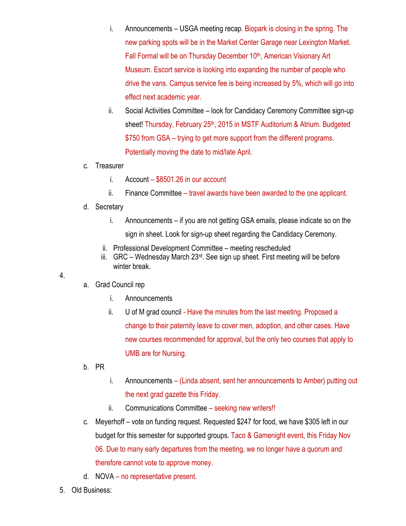- i. Announcements USGA meeting recap. Biopark is closing in the spring. The new parking spots will be in the Market Center Garage near Lexington Market. Fall Formal will be on Thursday December 10<sup>th</sup>, American Visionary Art Museum. Escort service is looking into expanding the number of people who drive the vans. Campus service fee is being increased by 5%, which will go into effect next academic year.
- ii. Social Activities Committee look for Candidacy Ceremony Committee sign-up sheet! Thursday, February 25<sup>th</sup>, 2015 in MSTF Auditorium & Atrium. Budgeted \$750 from GSA – trying to get more support from the different programs. Potentially moving the date to mid/late April.
- c. Treasurer
	- i. Account \$8501.26 in our account
	- ii. Finance Committee travel awards have been awarded to the one applicant.
- d. Secretary
	- i. Announcements if you are not getting GSA emails, please indicate so on the sign in sheet. Look for sign-up sheet regarding the Candidacy Ceremony.
	- ii. Professional Development Committee meeting rescheduled
	- iii. GRC Wednesday March  $23<sup>rd</sup>$ . See sign up sheet. First meeting will be before winter break.
- 4.
- a. Grad Council rep
	- i. Announcements
	- ii. U of M grad council Have the minutes from the last meeting. Proposed a change to their paternity leave to cover men, adoption, and other cases. Have new courses recommended for approval, but the only two courses that apply to UMB are for Nursing.
- b. PR
- i. Announcements (Linda absent, sent her announcements to Amber) putting out the next grad gazette this Friday.
- ii. Communications Committee seeking new writers!!
- c. Meyerhoff vote on funding request. Requested \$247 for food, we have \$305 left in our budget for this semester for supported groups. Taco & Gamenight event, this Friday Nov 06. Due to many early departures from the meeting, we no longer have a quorum and therefore cannot vote to approve money.
- d. NOVA no representative present.
- 5. Old Business: